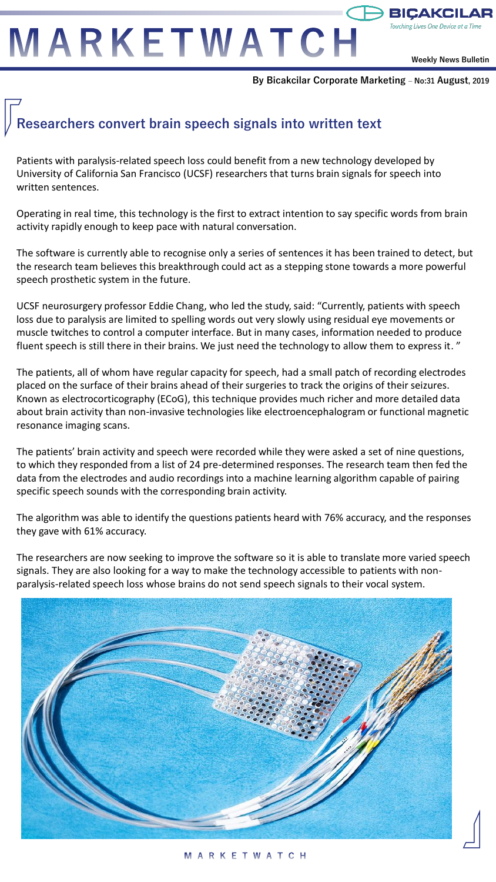# MARKETWATCH

**Weekly News Bulletin**

<del>)</del> BICAKCII

**By Bicakcilar Corporate Marketing – No:31 August, 2019**

## **Researchers convert brain speech signals into written text**

Patients with paralysis-related speech loss could benefit from a new technology developed by University of California San Francisco (UCSF) researchers that turns brain signals for speech into written sentences.

Operating in real time, this technology is the first to extract intention to say specific words from brain activity rapidly enough to keep pace with natural conversation.

The software is currently able to recognise only a series of sentences it has been trained to detect, but the research team believes this breakthrough could act as a stepping stone towards a more powerful speech prosthetic system in the future.

UCSF neurosurgery professor Eddie Chang, who led the study, said: "Currently, patients with speech loss due to paralysis are limited to spelling words out very slowly using residual eye movements or muscle twitches to control a computer interface. But in many cases, information needed to produce fluent speech is still there in their brains. We just need the technology to allow them to express it. "

The patients, all of whom have regular capacity for speech, had a small patch of recording electrodes placed on the surface of their brains ahead of their surgeries to track the origins of their seizures. Known as electrocorticography (ECoG), this technique provides much richer and more detailed data about brain activity than non-invasive technologies like electroencephalogram or functional magnetic resonance imaging scans.

The patients' brain activity and speech were recorded while they were asked a set of nine questions, to which they responded from a list of 24 pre-determined responses. The research team then fed the data from the electrodes and audio recordings into a machine learning algorithm capable of pairing specific speech sounds with the corresponding brain activity.

The algorithm was able to identify the questions patients heard with 76% accuracy, and the responses they gave with 61% accuracy.

The researchers are now seeking to improve the software so it is able to translate more varied speech signals. They are also looking for a way to make the technology accessible to patients with nonparalysis-related speech loss whose brains do not send speech signals to their vocal system.

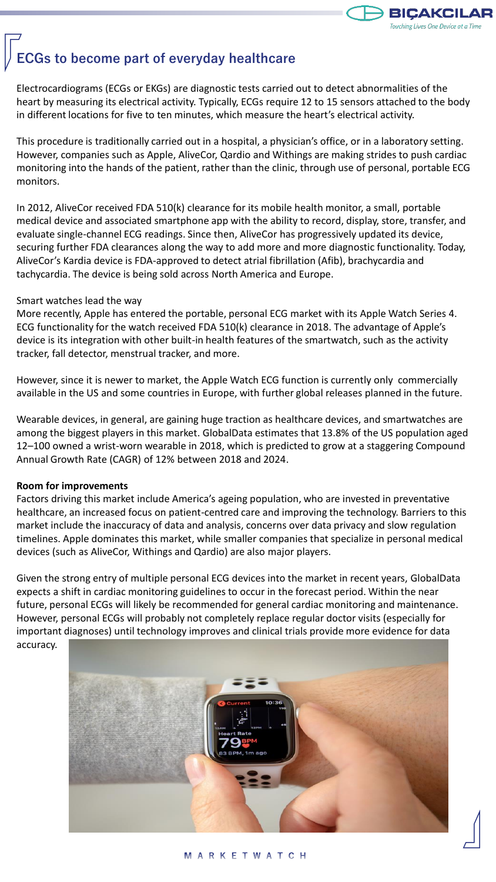

## **ECGs to become part of everyday healthcare**

Electrocardiograms (ECGs or EKGs) are diagnostic tests carried out to detect abnormalities of the heart by measuring its electrical activity. Typically, ECGs require 12 to 15 sensors attached to the body in different locations for five to ten minutes, which measure the heart's electrical activity.

This procedure is traditionally carried out in a hospital, a physician's office, or in a laboratory setting. However, companies such as Apple, AliveCor, Qardio and Withings are making strides to push cardiac monitoring into the hands of the patient, rather than the clinic, through use of personal, portable ECG monitors.

In 2012, AliveCor received FDA 510(k) clearance for its mobile health monitor, a small, portable medical device and associated smartphone app with the ability to record, display, store, transfer, and evaluate single-channel ECG readings. Since then, AliveCor has progressively updated its device, securing further FDA clearances along the way to add more and more diagnostic functionality. Today, AliveCor's Kardia device is FDA-approved to detect atrial fibrillation (Afib), brachycardia and tachycardia. The device is being sold across North America and Europe.

#### Smart watches lead the way

More recently, Apple has entered the portable, personal ECG market with its Apple Watch Series 4. ECG functionality for the watch received FDA 510(k) clearance in 2018. The advantage of Apple's device is its integration with other built-in health features of the smartwatch, such as the activity tracker, fall detector, menstrual tracker, and more.

However, since it is newer to market, the Apple Watch ECG function is currently only commercially available in the US and some countries in Europe, with further global releases planned in the future.

Wearable devices, in general, are gaining huge traction as healthcare devices, and smartwatches are among the biggest players in this market. GlobalData estimates that 13.8% of the US population aged 12–100 owned a wrist-worn wearable in 2018, which is predicted to grow at a staggering Compound Annual Growth Rate (CAGR) of 12% between 2018 and 2024.

#### **Room for improvements**

Factors driving this market include America's ageing population, who are invested in preventative healthcare, an increased focus on patient-centred care and improving the technology. Barriers to this market include the inaccuracy of data and analysis, concerns over data privacy and slow regulation timelines. Apple dominates this market, while smaller companies that specialize in personal medical devices (such as AliveCor, Withings and Qardio) are also major players.

Given the strong entry of multiple personal ECG devices into the market in recent years, GlobalData expects a shift in cardiac monitoring guidelines to occur in the forecast period. Within the near future, personal ECGs will likely be recommended for general cardiac monitoring and maintenance. However, personal ECGs will probably not completely replace regular doctor visits (especially for important diagnoses) until technology improves and clinical trials provide more evidence for data accuracy.

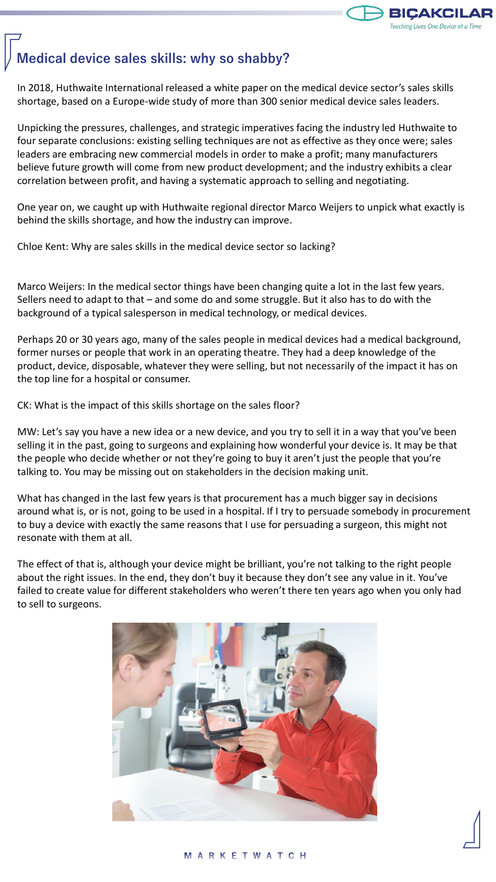

### **Medical device sales skills: why so shabby?**

In 2018, Huthwaite International released a white paper on the medical device sector's sales skills shortage, based on a Europe-wide study of more than 300 senior medical device sales leaders.

Unpicking the pressures, challenges, and strategic imperatives facing the industry led Huthwaite to four separate conclusions: existing selling techniques are not as effective as they once were; sales leaders are embracing new commercial models in order to make a profit; many manufacturers believe future growth will come from new product development; and the industry exhibits a clear correlation between profit, and having a systematic approach to selling and negotiating.

One year on, we caught up with Huthwaite regional director Marco Weijers to unpick what exactly is behind the skills shortage, and how the industry can improve.

Chloe Kent: Why are sales skills in the medical device sector so lacking?

Marco Weijers: In the medical sector things have been changing quite a lot in the last few years. Sellers need to adapt to that – and some do and some struggle. But it also has to do with the background of a typical salesperson in medical technology, or medical devices.

Perhaps 20 or 30 years ago, many of the sales people in medical devices had a medical background, former nurses or people that work in an operating theatre. They had a deep knowledge of the product, device, disposable, whatever they were selling, but not necessarily of the impact it has on the top line for a hospital or consumer.

CK: What is the impact of this skills shortage on the sales floor?

MW: Let's say you have a new idea or a new device, and you try to sell it in a way that you've been selling it in the past, going to surgeons and explaining how wonderful your device is. It may be that the people who decide whether or not they're going to buy it aren't just the people that you're talking to. You may be missing out on stakeholders in the decision making unit.

What has changed in the last few years is that procurement has a much bigger say in decisions around what is, or is not, going to be used in a hospital. If I try to persuade somebody in procurement to buy a device with exactly the same reasons that I use for persuading a surgeon, this might not resonate with them at all.

The effect of that is, although your device might be brilliant, you're not talking to the right people about the right issues. In the end, they don't buy it because they don't see any value in it. You've failed to create value for different stakeholders who weren't there ten years ago when you only had to sell to surgeons.

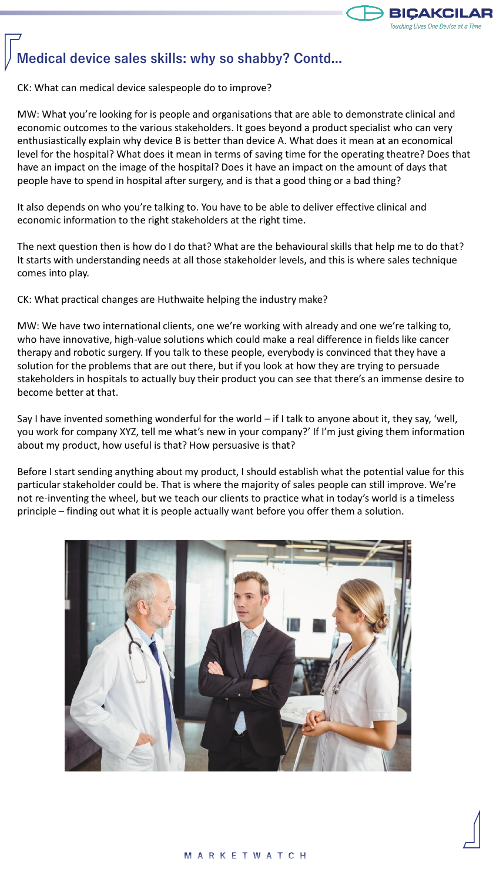

## **Medical device sales skills: why so shabby? Contd...**

CK: What can medical device salespeople do to improve?

MW: What you're looking for is people and organisations that are able to demonstrate clinical and economic outcomes to the various stakeholders. It goes beyond a product specialist who can very enthusiastically explain why device B is better than device A. What does it mean at an economical level for the hospital? What does it mean in terms of saving time for the operating theatre? Does that have an impact on the image of the hospital? Does it have an impact on the amount of days that people have to spend in hospital after surgery, and is that a good thing or a bad thing?

It also depends on who you're talking to. You have to be able to deliver effective clinical and economic information to the right stakeholders at the right time.

The next question then is how do I do that? What are the behavioural skills that help me to do that? It starts with understanding needs at all those stakeholder levels, and this is where sales technique comes into play.

CK: What practical changes are Huthwaite helping the industry make?

MW: We have two international clients, one we're working with already and one we're talking to, who have innovative, high-value solutions which could make a real difference in fields like cancer therapy and robotic surgery. If you talk to these people, everybody is convinced that they have a solution for the problems that are out there, but if you look at how they are trying to persuade stakeholders in hospitals to actually buy their product you can see that there's an immense desire to become better at that.

Say I have invented something wonderful for the world – if I talk to anyone about it, they say, 'well, you work for company XYZ, tell me what's new in your company?' If I'm just giving them information about my product, how useful is that? How persuasive is that?

Before I start sending anything about my product, I should establish what the potential value for this particular stakeholder could be. That is where the majority of sales people can still improve. We're not re-inventing the wheel, but we teach our clients to practice what in today's world is a timeless principle – finding out what it is people actually want before you offer them a solution.